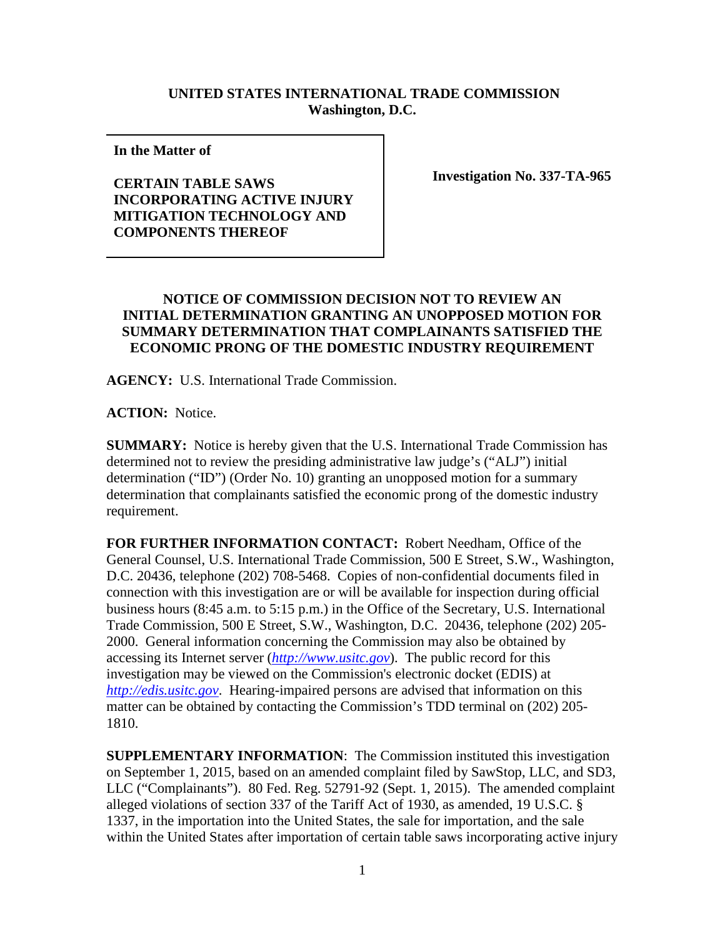## **UNITED STATES INTERNATIONAL TRADE COMMISSION Washington, D.C.**

**In the Matter of** 

## **CERTAIN TABLE SAWS INCORPORATING ACTIVE INJURY MITIGATION TECHNOLOGY AND COMPONENTS THEREOF**

**Investigation No. 337-TA-965**

## **NOTICE OF COMMISSION DECISION NOT TO REVIEW AN INITIAL DETERMINATION GRANTING AN UNOPPOSED MOTION FOR SUMMARY DETERMINATION THAT COMPLAINANTS SATISFIED THE ECONOMIC PRONG OF THE DOMESTIC INDUSTRY REQUIREMENT**

**AGENCY:** U.S. International Trade Commission.

**ACTION:** Notice.

**SUMMARY:** Notice is hereby given that the U.S. International Trade Commission has determined not to review the presiding administrative law judge's ("ALJ") initial determination ("ID") (Order No. 10) granting an unopposed motion for a summary determination that complainants satisfied the economic prong of the domestic industry requirement.

**FOR FURTHER INFORMATION CONTACT:** Robert Needham, Office of the General Counsel, U.S. International Trade Commission, 500 E Street, S.W., Washington, D.C. 20436, telephone (202) 708-5468. Copies of non-confidential documents filed in connection with this investigation are or will be available for inspection during official business hours (8:45 a.m. to 5:15 p.m.) in the Office of the Secretary, U.S. International Trade Commission, 500 E Street, S.W., Washington, D.C. 20436, telephone (202) 205- 2000. General information concerning the Commission may also be obtained by accessing its Internet server (*[http://www.usitc.gov](http://www.usitc.gov/)*). The public record for this investigation may be viewed on the Commission's electronic docket (EDIS) at *[http://edis.usitc.gov](http://edis.usitc.gov/)*. Hearing-impaired persons are advised that information on this matter can be obtained by contacting the Commission's TDD terminal on (202) 205- 1810.

**SUPPLEMENTARY INFORMATION**: The Commission instituted this investigation on September 1, 2015, based on an amended complaint filed by SawStop, LLC, and SD3, LLC ("Complainants"). 80 Fed. Reg. 52791-92 (Sept. 1, 2015). The amended complaint alleged violations of section 337 of the Tariff Act of 1930, as amended, 19 U.S.C. § 1337, in the importation into the United States, the sale for importation, and the sale within the United States after importation of certain table saws incorporating active injury